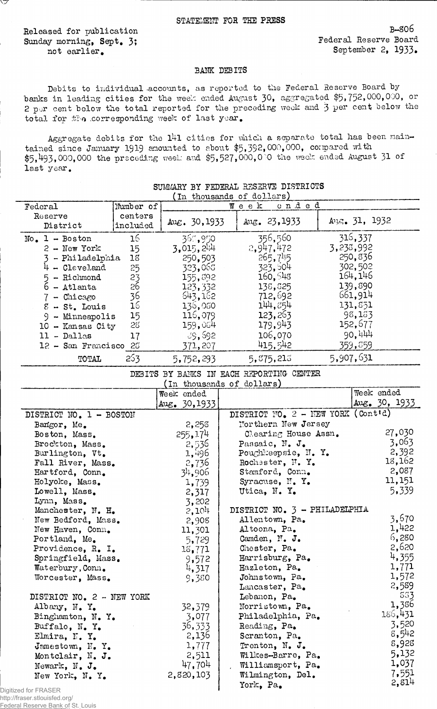Released for publication Sunday morning, Sept. 3; not earlier.

w

**Federal Reserve Bank of St. Louis** 

## BANK DEBITS

Debits to individual .accounts, as reported to the Federal Reserve Board by banks in leading cities for the week ended August 30, aggregated \$5,752,000,000, or 2 por cent below the total reported for the preceding week and 3 per cent below the total for  $t$ e corresponding veek of last year.

Aggregate debits for the  $141$  cities for which a separate total has been maintained since January 1919 amounted to about \$5,392,000,000, conpared with  $$5,493,000,000$  the preceding week and  $$5,527,000,0.00$  the week ended August 31 of last year.

| Federal<br>Reserve<br>District<br>$No. 1 - Boston$<br>$2 - New York$<br>- Philadelphia<br>$4 - \text{Cleveland}$ | Number of<br>centers<br>included<br>16 | Aue. 30, 1933             | cnded<br>Week<br>Aug. 23, 1933           | $A_{13}$ . 31, 1932 |               |
|------------------------------------------------------------------------------------------------------------------|----------------------------------------|---------------------------|------------------------------------------|---------------------|---------------|
|                                                                                                                  |                                        |                           |                                          |                     |               |
|                                                                                                                  |                                        |                           |                                          |                     |               |
|                                                                                                                  |                                        | 360,950                   | 356,560                                  | 316,337             |               |
|                                                                                                                  | 15                                     | 3,015,244                 | 2,947,472                                | 3,238,992           |               |
|                                                                                                                  | 18                                     | 250,503                   | 265,745                                  | 250,836             |               |
|                                                                                                                  | 25                                     | 323,065                   | 323,504                                  | 302,502             |               |
| $5 -$ Richmond                                                                                                   | 23                                     | 155,892                   | 160,548                                  | 164, 146            |               |
| $6 -$ Atlanta                                                                                                    | 26                                     | 123,332                   | 138,825                                  | 139,890             |               |
| $7 - \text{Cnicago}$                                                                                             | 36                                     | 643,162                   | 712,692                                  | 661,914             |               |
| $8 - St.$ Louis                                                                                                  | 16                                     | 136,080                   | 144,854                                  | 131,851             |               |
| $9 -$ Minneapolis                                                                                                | 15                                     | 116,079                   | 123,263                                  | 98,153              |               |
| 10 - Kansas City                                                                                                 | 28                                     | 159,054                   | 179,943                                  | 152,677             |               |
| $11 - Dallas$                                                                                                    | 17                                     | 39,592                    | 106,070                                  | 90,444              |               |
| 12 - San Francisco 26                                                                                            |                                        | 371,207                   | 415,542                                  | 359,859             |               |
| TOTAL                                                                                                            | 253                                    | 5,752,293                 | 5,875,213                                | 5,907,631           |               |
|                                                                                                                  |                                        |                           | DEBITS BY BANKS IN EACH REPORTING CENTER |                     |               |
|                                                                                                                  |                                        | (In thousands of dollars) |                                          |                     |               |
|                                                                                                                  |                                        | Week ended                |                                          |                     | Week ended    |
|                                                                                                                  |                                        | Aug. 30, 1933             |                                          |                     | Aug. 30, 1933 |
| DISTRICT NO. 1 - BOSTON                                                                                          |                                        |                           | DISTRICT NO. 2 - NEW YORK (Cont'd)       |                     |               |
| Bangor, Me.                                                                                                      |                                        | 2,258                     | Northern New Jersey                      |                     |               |
| Boston, Mass.                                                                                                    |                                        | 255, 174                  | Clearing House Assn.                     |                     | 27,030        |
| Brockton, Mass.                                                                                                  |                                        | 2,536                     | Passaic, N. J.                           |                     | 3,063         |
| Burlington, Vt.                                                                                                  |                                        | 1,496                     | Poughkeepsie, N. Y.                      |                     | 2,392         |
| Fall River, Mass.                                                                                                |                                        | 2,736                     | Rochester, N.Y.                          |                     | 18,162        |
| Hartford, Conn.                                                                                                  |                                        | 34,906                    | Stamford, Conn.                          |                     | 2,087         |
| Holyoke, Mass.                                                                                                   |                                        | 1,739                     | Syracuse, N.Y.                           |                     | 11,151        |
| Lowell, Mass.                                                                                                    |                                        | 2,317                     | Utica, N.Y.                              |                     | 5,339         |
| Lynn, Mass.                                                                                                      |                                        | 3,202                     |                                          |                     |               |
| Manchester, N. H.                                                                                                |                                        | $2,10$ <sup>1</sup>       | DISTRICT NO. 3 - PHILADELPHIA            |                     |               |
| New Bedford, Mass.                                                                                               |                                        | 2,908                     | Allentown, Pa.                           |                     | 3,670         |
| New Haven, Conn.                                                                                                 |                                        | 11,301                    | Altoona, Pa.                             |                     | 1,422         |
| Portland, Me.                                                                                                    |                                        | 5,729                     | Camden, N. J.                            |                     | 6,280         |
| Providence, R. I.                                                                                                |                                        | 18,771                    | Chester, Pa.                             |                     | 2,620         |
| Springfield, Mass.                                                                                               |                                        | 9,572                     | Harrisburg, Pa.                          |                     | 4,355         |
| Waterbury, Conn.                                                                                                 |                                        | 4,317                     | Hazleton, Pa.                            |                     | 1,771         |
| Worcester, Mass.                                                                                                 |                                        | 9,380                     | Johnstown, Pa.                           |                     | 1,572         |
|                                                                                                                  |                                        |                           | Lancaster, Pa.                           |                     | 2,589         |
| DISTRICT NO. 2 - NEW YORK                                                                                        |                                        |                           | Lebanon, Pa.                             |                     | 853           |
| Albany, N.Y.                                                                                                     |                                        | 32,379                    | Norristown, Pa.                          |                     | 1,386         |
| Binghamton, N. Y.                                                                                                |                                        | 3,077                     | Philadelphia, Pa.                        |                     | 186,431       |
| Buffalo, N.Y.                                                                                                    |                                        | 36,333                    | Reading, Pa.                             |                     | 3,520         |
| Elmira, N.Y.                                                                                                     |                                        | 2,136                     | Scranton, Pa.                            |                     | 8,542         |
| Jamestown, N. Y.                                                                                                 |                                        | 1,777                     | Trenton, $N_{\bullet}$ J.                |                     | 8,928         |
| Montclair, N. J.                                                                                                 |                                        | 2,511                     | Wilkes-Barre, Pa.                        |                     | 5,132         |
| Newark, N. J.                                                                                                    |                                        | 47,704                    | Williamsport, Pa.                        |                     | 1,037         |
|                                                                                                                  |                                        | 2,820,103                 | Wilmington, Del.                         |                     | 7,551         |
| New York, N.Y.                                                                                                   |                                        |                           | York, Pa.                                |                     | 2,814         |

## SUMMARY BY FEDERAL RESERVE DISTRICTS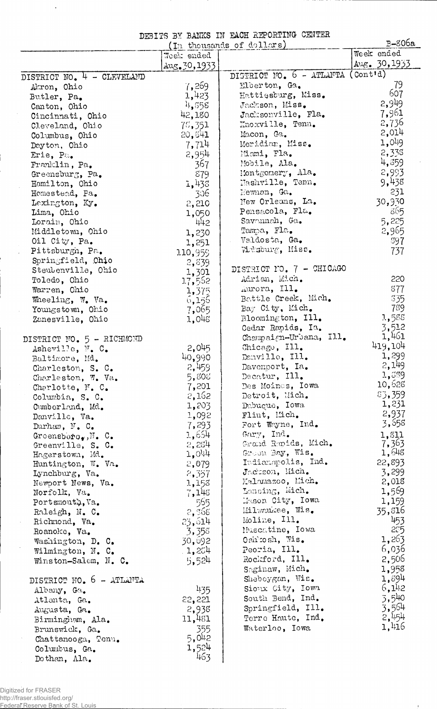DEBITS BY BANKS IN EACH REPORTING CENTER

|                                  |               | (In thousands of dollars)          | $B - 806a$         |
|----------------------------------|---------------|------------------------------------|--------------------|
|                                  | Teek ended    |                                    | Week ended         |
|                                  | Aug. 30, 1933 |                                    | Aug. $30, 1933$    |
| DISTRICT NO. 4 - CLEVELAND       |               | DISTRICT NO. 6 - ATLANTA (Cont'd)  |                    |
| Akron, Ohio                      | 7,269         | Elberton, Ga.                      | 79                 |
| Butler, Pa.                      | 1,423         | Hattiesburg, Miss.                 | 607                |
| Canton, Ohio                     | 4,558         | Jackson, Miss.                     | 2,949              |
| Cincinnati, Ohio                 | 42,180        | Jacksonville, Fla.                 | 7,961              |
| Cleveland, Ohio                  | 75,351        | Knoxville, Tenn.                   | 2,736              |
| Columbus, Ohio                   | 20,541        | Macon, Ga.                         | 2,014              |
| Dayton, Ohio                     | 7,714         | Meridian, Miss.                    | 1,0 <sup>1</sup> 9 |
| Erie, Pa.                        | 2,954         | Miami, Fla.                        | 2,338              |
| Franklin, Pa.                    | 367           | Mobile, Ala.                       | 4,359              |
| Greensburg, Pa.                  | 879           | Montgomery, $A1a$ .                | 2,993              |
| Hamilton, Ohio                   | 1,438         | Hashville, Tenn.                   | 9,438              |
| Homestead, Pa.                   | 306           | Hewnsn, Ga.                        | 231                |
| Lexington, Ky.                   | 2,210         | New Orleans, La.                   | 30,930             |
| Lima, Ohio                       | 1,050         | Pensacola, Fla.                    | 865                |
| Lorain, Ohio                     | 442           | Savannah, Ga.                      | 5,225              |
| Middletown, Ohio                 |               | Tampa, Fla.                        | 2,965              |
| Oil City, Pa.                    | 1,230         | Valdosta, Ga.                      | 597                |
| Pittsburgh, Pa.                  | 1,251         | Vitaburg, Miss.                    | 737                |
| Springfield, Ohio                | 110,959       |                                    |                    |
|                                  | 2,839         | DISTRICT NO. 7 - CHICAGO           |                    |
| Steubenville, Ohio               | 1,301         | Adrian, Mich.                      | 220                |
| Toledo, Ohio                     | 17,552        | Aurora, Ill.                       | 877                |
| Warren, Chio                     | 1,375         | Battle Creek, Mich.                | 335                |
| Wheeling, W. Va.                 | 6,156         | Bay City, Mich.                    | 789                |
| Youngstown, Ohio                 | 7,065         | Bloomington, Ill.                  | 1,588              |
| Zanesville, Ohio                 | 1,048         | Cedar Rapids, Ia.                  | 3,512              |
|                                  |               | Chempaign-Urbana, Ill.             | 1,461              |
| DISTRICT NO. 5 - RICHMOND        | 2.045         | Chicago, Ill.                      | 419,104            |
| Asheville, N. C.                 |               | Danville, Ill.                     | 1,299              |
| Baltimore, Md.                   | 40,990        | Davenport, Ia.                     | 2,149              |
| Charleston, S. C.                | 2,459         |                                    | 1,339              |
| Charleston, W. Va.               | 5,808         | Decatur, Ill.                      | 10,628             |
| Charlotte, N. C.                 | 7,201         | Des Moines, Iowa                   | 83,359             |
| Columbia, S. C.                  | 2,162         | Detroit, Mich.                     | 1,231              |
| Cumberland, Md.                  | 1,203         | Dubuque, Iowa                      | 2,937              |
| Danville, Va.                    | 1,092         | Flint, Mich.                       | 3,558              |
| Durham, N. C.                    | 7,293         | Fort Wayne, Ind.                   |                    |
| Greensboro., $\mathbb{N}_0$ . C. | 1,654         | Gary, Ind.                         | 1,811              |
| Greenville, S. C.                | 2,284         | Grand Ropids, Mich.                | 7,363<br>1,648     |
| Hagerstown, Md.                  | 1.044         | Groen Bay, Wis.                    |                    |
| Huntington, W. Va.               | 2,079         | Indianapolis, Ind.                 | 22,893             |
| Lynchburg, Va.                   | 2,357         | Jadison, Mich.<br>Kalamazoo, Mich. | 3,299<br>2,018     |
| Newport News, Va.                | 1,153         | Lansing, Mich.                     |                    |
| Norfolk, Va.                     | 7,148         | Mason City, Iowa                   | 1,569              |
| Portsmouth, Va.                  | 565           |                                    | 1,159              |
| Raleigh, N. C.                   | 2, 368        | Milwaukee, Wis.                    | 35,816             |
| Richmond, Va.                    | 23,614        | Moline, Ill.                       | 453                |
| Roanoke, Va.                     | 3,358         | Muscatine, Iowa                    | 285                |
| Washington, D. C.                | 30,692        | Oshkosh, Wis.                      | 1,263              |
| Wilmington, N. C.                | 1,254         | Peoria, Ill.                       | 6,036              |
| Winston-Salem, N. C.             | 5,524         | Rockford, Ill.                     | 2,506              |
|                                  |               | Saginaw, Mich.                     | 1,958              |
| DISTRICT NO. 6 - ATLANTA         |               | Sheboygan, Wis.                    | 1,894              |
| Albany, Ga.                      | 435           | Sioux City, Iowa                   | 6,142              |
| Atlanta, Ga.                     | 22,221        | South Bend, Ind.                   | 3,540              |
| Augusta, Ga.                     | 2,938         | Springfield, Ill.                  | 3,564              |
| Birmingham, Ala.                 | 11,481        | Terre Haute, Ind.                  | 2,454              |
| Brunswick, Ga.                   | 355           | Waterloo, Iowa                     | 1,416              |
| Chattanooga, Tenu.               | 5,042         |                                    |                    |
| Columbus, Ga.                    | 1,524         |                                    |                    |
| Dothan, Ala.                     | 463           |                                    |                    |

 $\sim 10^{-1}$ 

 $\ddot{\phantom{1}}$ 

j